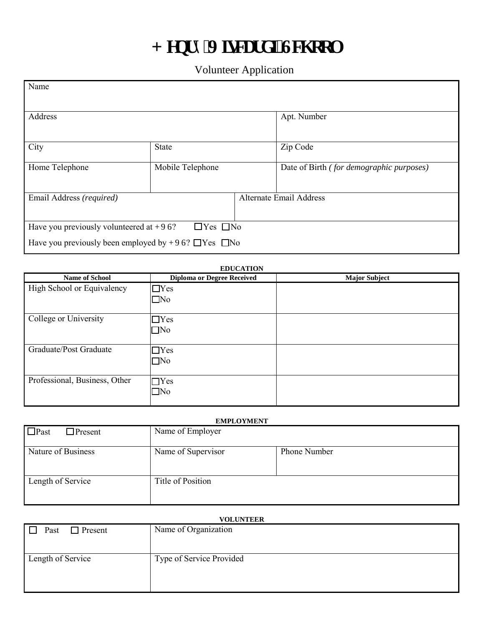## $J$  gpt { 'Xkectf kUej qqn

Volunteer Application

| Name                                                             |                  |                                |                                          |  |
|------------------------------------------------------------------|------------------|--------------------------------|------------------------------------------|--|
| Address                                                          |                  | Apt. Number                    |                                          |  |
| City                                                             | State            |                                | Zip Code                                 |  |
| Home Telephone                                                   | Mobile Telephone |                                | Date of Birth (for demographic purposes) |  |
| Email Address (required)                                         |                  | <b>Alternate Email Address</b> |                                          |  |
| $\Box$ Yes $\Box$ No<br>Have you previously volunteered at J XU? |                  |                                |                                          |  |
| Have you previously been employed by J XU? $\Box$ Yes $\Box$ No  |                  |                                |                                          |  |

## **EDUCATION**

| <b>Name of School</b>         | <b>Diploma or Degree Received</b> | <b>Major Subject</b> |
|-------------------------------|-----------------------------------|----------------------|
| High School or Equivalency    | $\Box$ Yes                        |                      |
|                               | $\Box$ No                         |                      |
| College or University         | $\exists$ Yes                     |                      |
|                               | $\square$ No                      |                      |
| Graduate/Post Graduate        | $\Box$ Yes                        |                      |
|                               | $\square$ No                      |                      |
| Professional, Business, Other | $\Box$ Yes                        |                      |
|                               | $\square$ No                      |                      |

| <b>EMPLOYMENT</b>             |                    |              |  |  |  |
|-------------------------------|--------------------|--------------|--|--|--|
| $\Box$ Past<br>$\Box$ Present | Name of Employer   |              |  |  |  |
| Nature of Business            | Name of Supervisor | Phone Number |  |  |  |
| Length of Service             | Title of Position  |              |  |  |  |

## **VOLUNTEER**   $\Box$  Past  $\Box$  Present Name of Organization Length of Service Type of Service Provided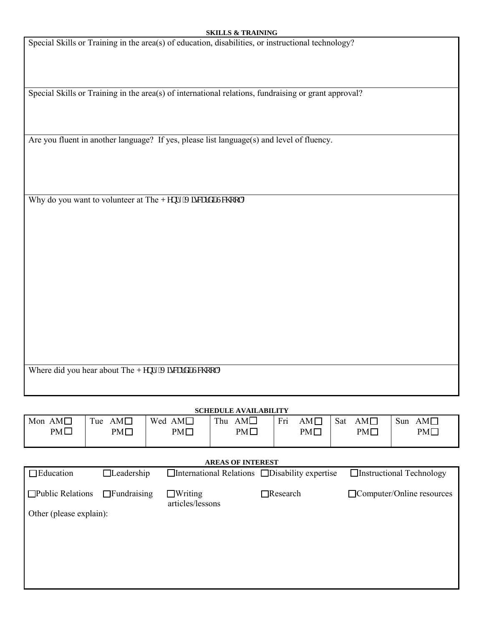Special Skills or Training in the area(s) of education, disabilities, or instructional technology?

Special Skills or Training in the area(s) of international relations, fundraising or grant approval?

Are you fluent in another language? If yes, please list language(s) and level of fluency.

Why do you want to volunteer at The J gpt { 'Xkectf k'Uej qqn?

Where did you hear about The J gpt { 'Xkectf k'Uej qqn?

| <b>SCHEDULE AVAILABILITY</b> |                    |                                    |                                                            |                    |                    |                                  |
|------------------------------|--------------------|------------------------------------|------------------------------------------------------------|--------------------|--------------------|----------------------------------|
| Mon $AMD$                    | $AM\square$<br>Tue | Wed $AM\square$                    | Thu $AMD$                                                  | Fri<br>$AM\square$ | $AM\square$<br>Sat | Sun<br>$AM\square$               |
| $PM\square$                  | $PM\square$        | $PM\square$                        | $PM\square$                                                | $PM\square$        | $PM\square$        | $PM\square$                      |
| <b>AREAS OF INTEREST</b>     |                    |                                    |                                                            |                    |                    |                                  |
| $\Box$ Education             | $\Box$ Leadership  |                                    | $\Box$ International Relations $\Box$ Disability expertise |                    |                    | $\Box$ Instructional Technology  |
| $\Box$ Public Relations      | $\Box$ Fundraising | $\Box$ Writing<br>articles/lessons |                                                            | $\Box$ Research    |                    | $\Box$ Computer/Online resources |
| Other (please explain):      |                    |                                    |                                                            |                    |                    |                                  |
|                              |                    |                                    |                                                            |                    |                    |                                  |
|                              |                    |                                    |                                                            |                    |                    |                                  |
|                              |                    |                                    |                                                            |                    |                    |                                  |
|                              |                    |                                    |                                                            |                    |                    |                                  |